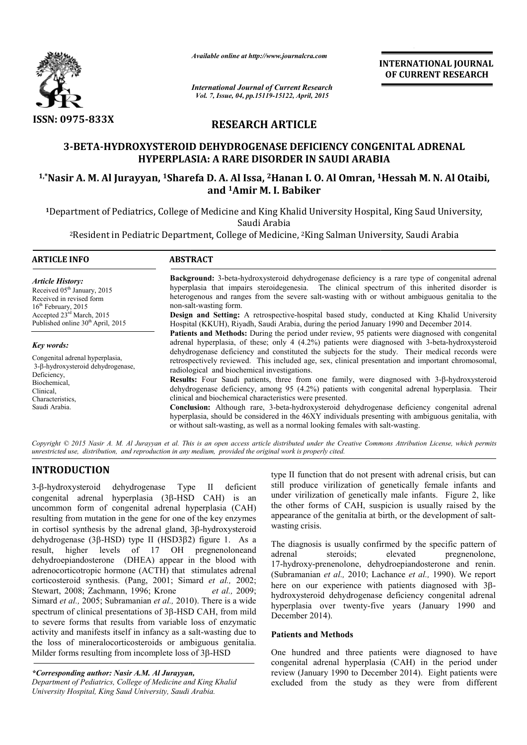

*Available online at http://www.journalcra.com*

## RESEARCH ARTICLE

# 3-BETA-HYDROXYSTEROID DEHYDROGENASE DEFICIENCY CONGENITAL ADRENAL HYPERPLASIA: A RARE DISORDER IN SAUDI ARABIA 1,\*Nasir A. M. Al Jurayyan, 1Sharefa D. A. Al Issa, HYDROXYSTEROID Sharefa 2Hanan I. O. Al Omran, 1 SAUDI ARABIA 1Hessah M. N. Al Otaibi,

# and 1Amir M. I. Babiker

|                                                                                                                                                                                                                                                                                                                                                                                                                                                                                                                                                                                                     | ттините опине и <i>нир.//www.</i> journuicru.com<br><b>International Journal of Current Research</b><br>Vol. 7, Issue, 04, pp.15119-15122, April, 2015                                                                                                                                                                                                                                                                                                                                                                     |                                                                                                                                                                                                                                                                                                                                                                                                                                                                                                                                                                                                                                                                                                                                                                                                                                                                                                        | <b>INTERNATIONAL JOURNAL</b><br>OF CURRENT RESEARCH                                                                                                                                                                                                                                                                                                                                                                                                                                                                                                                                                                                                                                       |  |  |
|-----------------------------------------------------------------------------------------------------------------------------------------------------------------------------------------------------------------------------------------------------------------------------------------------------------------------------------------------------------------------------------------------------------------------------------------------------------------------------------------------------------------------------------------------------------------------------------------------------|----------------------------------------------------------------------------------------------------------------------------------------------------------------------------------------------------------------------------------------------------------------------------------------------------------------------------------------------------------------------------------------------------------------------------------------------------------------------------------------------------------------------------|--------------------------------------------------------------------------------------------------------------------------------------------------------------------------------------------------------------------------------------------------------------------------------------------------------------------------------------------------------------------------------------------------------------------------------------------------------------------------------------------------------------------------------------------------------------------------------------------------------------------------------------------------------------------------------------------------------------------------------------------------------------------------------------------------------------------------------------------------------------------------------------------------------|-------------------------------------------------------------------------------------------------------------------------------------------------------------------------------------------------------------------------------------------------------------------------------------------------------------------------------------------------------------------------------------------------------------------------------------------------------------------------------------------------------------------------------------------------------------------------------------------------------------------------------------------------------------------------------------------|--|--|
|                                                                                                                                                                                                                                                                                                                                                                                                                                                                                                                                                                                                     |                                                                                                                                                                                                                                                                                                                                                                                                                                                                                                                            |                                                                                                                                                                                                                                                                                                                                                                                                                                                                                                                                                                                                                                                                                                                                                                                                                                                                                                        |                                                                                                                                                                                                                                                                                                                                                                                                                                                                                                                                                                                                                                                                                           |  |  |
| ISSN: 0975-833X                                                                                                                                                                                                                                                                                                                                                                                                                                                                                                                                                                                     | <b>RESEARCH ARTICLE</b>                                                                                                                                                                                                                                                                                                                                                                                                                                                                                                    |                                                                                                                                                                                                                                                                                                                                                                                                                                                                                                                                                                                                                                                                                                                                                                                                                                                                                                        |                                                                                                                                                                                                                                                                                                                                                                                                                                                                                                                                                                                                                                                                                           |  |  |
|                                                                                                                                                                                                                                                                                                                                                                                                                                                                                                                                                                                                     | 3-BETA-HYDROXYSTEROID DEHYDROGENASE DEFICIENCY CONGENITAL ADRENAL<br><b>HYPERPLASIA: A RARE DISORDER IN SAUDI ARABIA</b>                                                                                                                                                                                                                                                                                                                                                                                                   |                                                                                                                                                                                                                                                                                                                                                                                                                                                                                                                                                                                                                                                                                                                                                                                                                                                                                                        |                                                                                                                                                                                                                                                                                                                                                                                                                                                                                                                                                                                                                                                                                           |  |  |
|                                                                                                                                                                                                                                                                                                                                                                                                                                                                                                                                                                                                     | and <sup>1</sup> Amir M. I. Babiker                                                                                                                                                                                                                                                                                                                                                                                                                                                                                        |                                                                                                                                                                                                                                                                                                                                                                                                                                                                                                                                                                                                                                                                                                                                                                                                                                                                                                        | <sup>1,*</sup> Nasir A. M. Al Jurayyan, <sup>1</sup> Sharefa D. A. Al Issa, <sup>2</sup> Hanan I. O. Al Omran, <sup>1</sup> Hessah M. N. Al Otaibi,                                                                                                                                                                                                                                                                                                                                                                                                                                                                                                                                       |  |  |
|                                                                                                                                                                                                                                                                                                                                                                                                                                                                                                                                                                                                     | Saudi Arabia                                                                                                                                                                                                                                                                                                                                                                                                                                                                                                               |                                                                                                                                                                                                                                                                                                                                                                                                                                                                                                                                                                                                                                                                                                                                                                                                                                                                                                        | <sup>1</sup> Department of Pediatrics, College of Medicine and King Khalid University Hospital, King Saud University,                                                                                                                                                                                                                                                                                                                                                                                                                                                                                                                                                                     |  |  |
|                                                                                                                                                                                                                                                                                                                                                                                                                                                                                                                                                                                                     | <sup>2</sup> Resident in Pediatric Department, College of Medicine, <sup>2</sup> King Salman University, Saudi Arabia                                                                                                                                                                                                                                                                                                                                                                                                      |                                                                                                                                                                                                                                                                                                                                                                                                                                                                                                                                                                                                                                                                                                                                                                                                                                                                                                        |                                                                                                                                                                                                                                                                                                                                                                                                                                                                                                                                                                                                                                                                                           |  |  |
| <b>ARTICLE INFO</b>                                                                                                                                                                                                                                                                                                                                                                                                                                                                                                                                                                                 | <b>ABSTRACT</b>                                                                                                                                                                                                                                                                                                                                                                                                                                                                                                            |                                                                                                                                                                                                                                                                                                                                                                                                                                                                                                                                                                                                                                                                                                                                                                                                                                                                                                        |                                                                                                                                                                                                                                                                                                                                                                                                                                                                                                                                                                                                                                                                                           |  |  |
| <b>Article History:</b><br>Received 05 <sup>th</sup> January, 2015<br>Received in revised form<br>16 <sup>th</sup> February, 2015<br>Accepted 23rd March, 2015<br>Published online 30 <sup>th</sup> April, 2015                                                                                                                                                                                                                                                                                                                                                                                     | Background: 3-beta-hydroxysteroid dehydrogenase deficiency is a rare type of congenital adrenal<br>hyperplasia that impairs steroidegenesia. The clinical spectrum of this inherited disorder is<br>heterogenous and ranges from the severe salt-wasting with or without ambiguous genitalia to the<br>non-salt-wasting form.<br>Design and Setting: A retrospective-hospital based study, conducted at King Khalid University<br>Hospital (KKUH), Riyadh, Saudi Arabia, during the period January 1990 and December 2014. |                                                                                                                                                                                                                                                                                                                                                                                                                                                                                                                                                                                                                                                                                                                                                                                                                                                                                                        |                                                                                                                                                                                                                                                                                                                                                                                                                                                                                                                                                                                                                                                                                           |  |  |
| Key words:<br>Congenital adrenal hyperplasia,<br>3-β-hydroxysteroid dehydrogenase,<br>Deficiency,<br>Biochemical,<br>Clinical,<br>Characteristics,<br>Saudi Arabia.                                                                                                                                                                                                                                                                                                                                                                                                                                 | radiological and biochemical investigations.<br>clinical and biochemical characteristics were presented.                                                                                                                                                                                                                                                                                                                                                                                                                   | Patients and Methods: During the period under review, 95 patients were diagnosed with congenital<br>adrenal hyperplasia, of these; only 4 (4.2%) patients were diagnosed with 3-beta-hydroxysteroid<br>dehydrogenase deficiency and constituted the subjects for the study. Their medical records were<br>retrospectively reviewed. This included age, sex, clinical presentation and important chromosomal,<br>Results: Four Saudi patients, three from one family, were diagnosed with 3-B-hydroxysteroid<br>dehydrogenase deficiency, among 95 (4.2%) patients with congenital adrenal hyperplasia. Their<br>Conclusion: Although rare, 3-beta-hydroxysteroid dehydrogenase deficiency congenital adrenal<br>hyperplasia, should be considered in the 46XY individuals presenting with ambiguous genitalia, with<br>or without salt-wasting, as well as a normal looking females with salt-wasting. |                                                                                                                                                                                                                                                                                                                                                                                                                                                                                                                                                                                                                                                                                           |  |  |
| unrestricted use, distribution, and reproduction in any medium, provided the original work is properly cited.                                                                                                                                                                                                                                                                                                                                                                                                                                                                                       |                                                                                                                                                                                                                                                                                                                                                                                                                                                                                                                            |                                                                                                                                                                                                                                                                                                                                                                                                                                                                                                                                                                                                                                                                                                                                                                                                                                                                                                        | Copyright © 2015 Nasir A. M. Al Jurayyan et al. This is an open access article distributed under the Creative Commons Attribution License, which permits                                                                                                                                                                                                                                                                                                                                                                                                                                                                                                                                  |  |  |
| <b>INTRODUCTION</b><br>$3-\beta$ -hydroxysteroid<br>dehydrogenase<br>congenital adrenal<br>uncommon form of congenital adrenal hyperplasia (CAH)<br>resulting from mutation in the gene for one of the key enzymes<br>in cortisol synthesis by the adrenal gland, 3 <sup>β</sup> -hydroxysteroid<br>dehydrogenase (3β-HSD) type II (HSD3β2) figure 1. As a<br>result,<br>dehydroepiandosterone (DHEA) appear in the blood with<br>adrenocorticotropic hormone (ACTH) that stimulates adrenal<br>corticosteroid synthesis. (Pang, 2001; Simard et al., 2002;<br>Stewart, 2008; Zachmann, 1996; Krone | deficient<br>$Type$ II<br>hyperplasia (3β-HSD CAH) is an<br>higher levels of 17 OH pregnenoloneand<br>et al., 2009;                                                                                                                                                                                                                                                                                                                                                                                                        | wasting crisis.<br>adrenal<br>steroids;                                                                                                                                                                                                                                                                                                                                                                                                                                                                                                                                                                                                                                                                                                                                                                                                                                                                | type II function that do not present with adrenal crisis, but can<br>still produce virilization of genetically female infants and<br>under virilization of genetically male infants. Figure 2, like<br>the other forms of CAH, suspicion is usually raised by the<br>appearance of the genitalia at birth, or the development of salt-<br>The diagnosis is usually confirmed by the specific pattern of<br>elevated<br>pregnenolone,<br>17-hydroxy-prenenolone, dehydroepiandosterone and renin.<br>(Subramanian et al., 2010; Lachance et al., 1990). We report<br>here on our experience with patients diagnosed with 3β-<br>hydroxysteroid dehydrogenase deficiency congenital adrenal |  |  |
| Simard et al., 2005; Subramanian et al., 2010). There is a wide<br>spectrum of clinical presentations of 3β-HSD CAH, from mild<br>to severe forms that results from variable loss of enzymatic<br>activity and manifests itself in infancy as a salt-wasting due to<br>the loss of mineralocorticosteroids or ambiguous genitalia.<br>Milder forms resulting from incomplete loss of 3ß-HSD<br>*Corresponding author: Nasir A.M. Al Jurayyan,<br>Department of Pediatrics, College of Medicine and King Khalid                                                                                      |                                                                                                                                                                                                                                                                                                                                                                                                                                                                                                                            | December 2014).<br><b>Patients and Methods</b>                                                                                                                                                                                                                                                                                                                                                                                                                                                                                                                                                                                                                                                                                                                                                                                                                                                         | hyperplasia over twenty-five years (January 1990 and<br>One hundred and three patients were diagnosed to have<br>congenital adrenal hyperplasia (CAH) in the period under<br>review (January 1990 to December 2014). Eight patients were<br>excluded from the study as they were from different                                                                                                                                                                                                                                                                                                                                                                                           |  |  |

### INTRODUCTION

*\*Corresponding author: Nasir A.M. Al Jurayyan, Department of Pediatrics, College of Medicine and King Khalid University Hospital, King Saud University, Saudi Arabia.*

#### Patients and Methods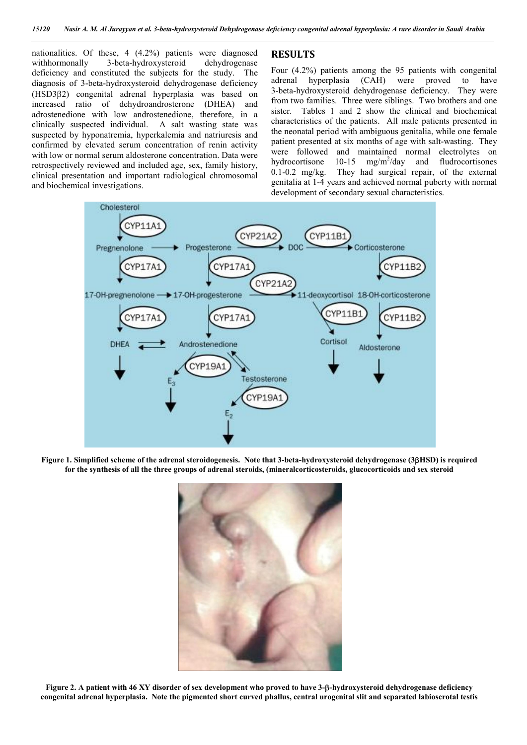nationalities. Of these, 4 (4.2%) patients were diagnosed<br>withhormonally 3-beta-hydroxysteroid dehydrogenase 3-beta-hydroxysteroid dehydrogenase deficiency and constituted the subjects for the study. The diagnosis of 3-beta-hydroxysteroid dehydrogenase deficiency (HSD32) congenital adrenal hyperplasia was based on increased ratio of dehydroandrosterone (DHEA) and adrostenedione with low androstenedione, therefore, in a clinically suspected individual. A salt wasting state was suspected by hyponatremia, hyperkalemia and natriuresis and confirmed by elevated serum concentration of renin activity with low or normal serum aldosterone concentration. Data were retrospectively reviewed and included age, sex, family history, clinical presentation and important radiological chromosomal and biochemical investigations.

#### RESULTS

Four (4.2%) patients among the 95 patients with congenital adrenal hyperplasia (CAH) were proved to have 3-beta-hydroxysteroid dehydrogenase deficiency. They were from two families. Three were siblings. Two brothers and one sister. Tables 1 and 2 show the clinical and biochemical characteristics of the patients. All male patients presented in the neonatal period with ambiguous genitalia, while one female patient presented at six months of age with salt-wasting. They were followed and maintained normal electrolytes on hydrocortisones  $10-15$  mg/m<sup>2</sup>/day and fludrocortisones hydrocortisone  $10-15$ fludrocortisones 0.1-0.2 mg/kg. They had surgical repair, of the external genitalia at 1-4 years and achieved normal puberty with normal development of secondary sexual characteristics.



Figure 1. Simplified scheme of the adrenal steroidogenesis. Note that 3-beta-hydroxysteroid dehydrogenase (3HSD) is required for the synthesis of all the three groups of adrenal steroids, (mineralcorticosteroids, glucocorticoids and sex steroid



Figure 2. A patient with 46 XY disorder of sex development who proved to have 3-β-hydroxysteroid dehydrogenase deficiency congenital adrenal hyperplasia. Note the pigmented short curved phallus, central urogenital slit and separated labioscrotal testis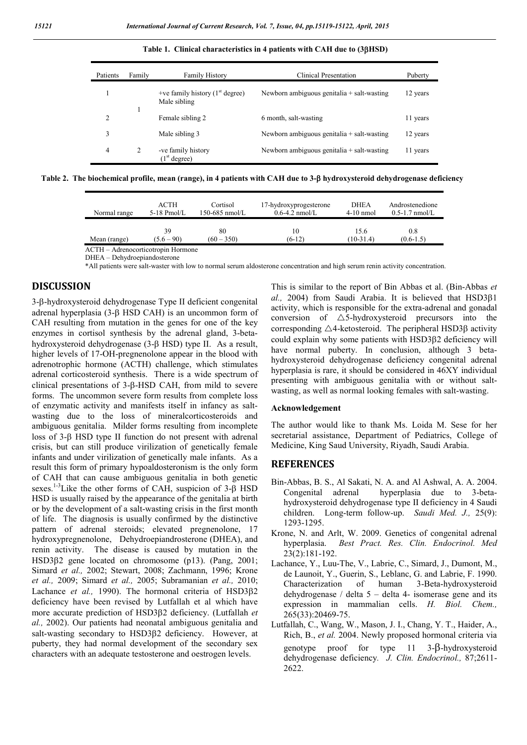| Patients       | Family | <b>Family History</b>                                          | Clinical Presentation                        | Puberty  |
|----------------|--------|----------------------------------------------------------------|----------------------------------------------|----------|
|                |        | +ve family history $(1st$ degree)<br>Male sibling              | Newborn ambiguous genitalia $+$ salt-wasting | 12 years |
| $\overline{c}$ |        | Female sibling 2                                               | 6 month, salt-wasting                        | 11 years |
| 3              |        | Male sibling 3<br>Newborn ambiguous genitalia $+$ salt-wasting |                                              | 12 years |
| 4              | 2      | -ve family history<br>(1 <sup>st</sup> degree)                 | Newborn ambiguous genitalia $+$ salt-wasting | 11 years |

Table 1. Clinical characteristics in 4 patients with CAH due to (3BHSD)

Table 2. The biochemical profile, mean (range), in 4 patients with CAH due to  $3-\beta$  hydroxysteroid dehydrogenase deficiency

| ACTH<br>$5-18$ Pmol/L | Cortisol<br>150-685 nmol/L | 17-hydroxyprogesterone<br>$0.6-4.2$ nmol/L | <b>DHEA</b><br>$4-10$ nmol                     | Androstenedione<br>$0.5-1.7$ nmol/L |
|-----------------------|----------------------------|--------------------------------------------|------------------------------------------------|-------------------------------------|
| 39                    | 80                         | 10                                         | 15.6                                           | 0.8                                 |
|                       |                            |                                            |                                                | $(0.6-1.5)$                         |
|                       | $(5.6 - 90)$               | $(60 - 350)$                               | $(6-12)$<br>ACTH – Adrenocorticotropin Hormone | $(10-31.4)$                         |

DHEA – Dehydroepiandosterone

\*All patients were salt-waster with low to normal serum aldosterone concentration and high serum renin activity concentration.

#### DISCUSSION

3-β-hydroxysteroid dehydrogenase Type II deficient congenital adrenal hyperplasia  $(3-\beta)$  HSD CAH) is an uncommon form of CAH resulting from mutation in the genes for one of the key enzymes in cortisol synthesis by the adrenal gland, 3-betahydroxysteroid dehydrogenase (3- $\beta$  HSD) type II. As a result, higher levels of 17-OH-pregnenolone appear in the blood with adrenotrophic hormone (ACTH) challenge, which stimulates adrenal corticosteroid synthesis. There is a wide spectrum of clinical presentations of 3-B-HSD CAH, from mild to severe forms. The uncommon severe form results from complete loss of enzymatic activity and manifests itself in infancy as saltwasting due to the loss of mineralcorticosteroids and ambiguous genitalia. Milder forms resulting from incomplete loss of 3- $\beta$  HSD type II function do not present with adrenal crisis, but can still produce virilization of genetically female infants and under virilization of genetically male infants. As a result this form of primary hypoaldosteronism is the only form of CAH that can cause ambiguous genitalia in both genetic sexes.<sup>1-3</sup> Like the other forms of CAH, suspicion of  $3-\beta$  HSD HSD is usually raised by the appearance of the genitalia at birth or by the development of a salt-wasting crisis in the first month of life. The diagnosis is usually confirmed by the distinctive pattern of adrenal steroids; elevated pregnenolone, 17 hydroxypregnenolone, Dehydroepiandrosterone (DHEA), and renin activity. The disease is caused by mutation in the HSD3<sub>B2</sub> gene located on chromosome (p13). (Pang, 2001; Simard *et al.,* 2002; Stewart, 2008; Zachmann, 1996; Krone *et al.,* 2009; Simard *et al.,* 2005; Subramanian *et al.,* 2010; Lachance *et al.*, 1990). The hormonal criteria of HSD3ß2 deficiency have been revised by Lutfallah et al which have more accurate prediction of HSD32 deficiency. (Lutfallah *et al.,* 2002). Our patients had neonatal ambiguous genitalia and salt-wasting secondary to HSD3B2 deficiency. However, at puberty, they had normal development of the secondary sex characters with an adequate testosterone and oestrogen levels.

This is similar to the report of Bin Abbas et al. (Bin-Abbas *et al.,* 2004) from Saudi Arabia. It is believed that HSD381 activity, which is responsible for the extra-adrenal and gonadal conversion of  $\triangle$ 5-hydroxysteroid precursors into the corresponding  $\triangle$ 4-ketosteroid. The peripheral HSD3 $\beta$  activity could explain why some patients with HSD3 $\beta$ 2 deficiency will have normal puberty. In conclusion, although 3 betahydroxysteroid dehydrogenase deficiency congenital adrenal hyperplasia is rare, it should be considered in 46XY individual presenting with ambiguous genitalia with or without saltwasting, as well as normal looking females with salt-wasting.

#### Acknowledgement

The author would like to thank Ms. Loida M. Sese for her secretarial assistance, Department of Pediatrics, College of Medicine, King Saud University, Riyadh, Saudi Arabia.

#### **REFERENCES**

- Bin-Abbas, B. S., Al Sakati, N. A. and Al Ashwal, A. A. 2004. Congenital adrenal hyperplasia due to 3-betahydroxysteroid dehydrogenase type II deficiency in 4 Saudi children. Long-term follow-up. *Saudi Med. J.,* 25(9): 1293-1295.
- Krone, N. and Arlt, W. 2009. Genetics of congenital adrenal hyperplasia. *Best Pract. Res. Clin. Endocrinol. Med* 23(2):181-192.
- Lachance, Y., Luu-The, V., Labrie, C., Simard, J., Dumont, M., de Launoit, Y., Guerin, S., Leblanc, G. and Labrie, F. 1990. Characterization of human 3-Beta-hydroxysteroid dehydrogenase / delta 5 – delta 4- isomerase gene and its expression in mammalian cells. *H. Biol. Chem.,* 265(33):20469-75.
- Lutfallah, C., Wang, W., Mason, J. I., Chang, Y. T., Haider, A., Rich, B., *et al.* 2004. Newly proposed hormonal criteria via genotype proof for type  $11 \quad 3-\beta$ -hydroxysteroid dehydrogenase deficiency*. J. Clin. Endocrinol.,* 87;2611- 2622.